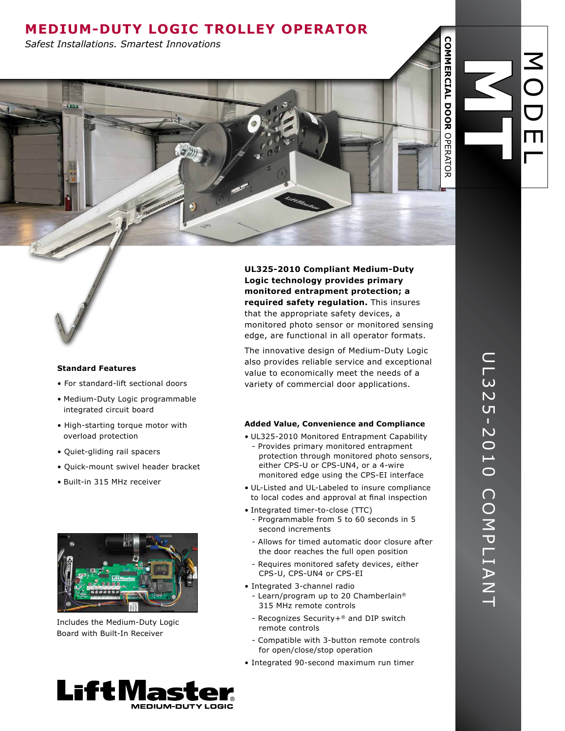## **Medium-Duty Logic TROLLEY Operator**

*Safest Installations. Smartest Innovations*

#### **Standard Features**

- For standard-lift sectional doors
- Medium-Duty Logic programmable integrated circuit board
- High-starting torque motor with overload protection
- Quiet-gliding rail spacers
- Quick-mount swivel header bracket
- Built-in 315 MHz receiver



Includes the Medium-Duty Logic Board with Built-In Receiver

**UL325-2010 Compliant Medium-Duty Logic technology provides primary monitored entrapment protection; a required safety regulation.** This insures that the appropriate safety devices, a monitored photo sensor or monitored sensing edge, are functional in all operator formats.

The innovative design of Medium-Duty Logic also provides reliable service and exceptional value to economically meet the needs of a variety of commercial door applications.

### **Added Value, Convenience and Compliance**

- UL325-2010 Monitored Entrapment Capability - Provides primary monitored entrapment protection through monitored photo sensors, either CPS-U or CPS-UN4, or a 4-wire monitored edge using the CPS-EI interface
- UL-Listed and UL-Labeled to insure compliance to local codes and approval at final inspection
- Integrated timer-to-close (TTC)
	- Programmable from 5 to 60 seconds in 5 second increments
	- Allows for timed automatic door closure after the door reaches the full open position
	- Requires monitored safety devices, either CPS-U, CPS-UN4 or CPS-EI
- Integrated 3-channel radio
	- Learn/program up to 20 Chamberlain® 315 MHz remote controls
	- Recognizes Security+® and DIP switch remote controls
	- Compatible with 3-button remote controls for open/close/stop operation
- Integrated 90-second maximum run timer

**MT** 

**COMMERCIAL DOOR** 

**COMMERCIAL DOOR OPERATOR** 

OPERATOR

 $\boldsymbol{\leq}$ 

O

D

E

 $\Box$